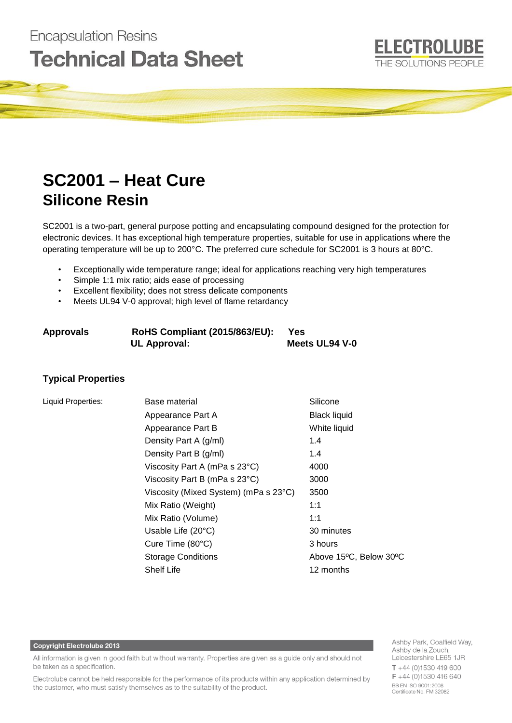# **Encapsulation Resins Technical Data Sheet**

# **SC2001 – Heat Cure Silicone Resin**

SC2001 is a two-part, general purpose potting and encapsulating compound designed for the protection for electronic devices. It has exceptional high temperature properties, suitable for use in applications where the operating temperature will be up to 200°C. The preferred cure schedule for SC2001 is 3 hours at 80°C.

- Exceptionally wide temperature range; ideal for applications reaching very high temperatures
- Simple 1:1 mix ratio; aids ease of processing
- Excellent flexibility; does not stress delicate components
- Meets UL94 V-0 approval; high level of flame retardancy

| Approvals | <b>RoHS Compliant (2015/863/EU):</b> | Yes            |
|-----------|--------------------------------------|----------------|
|           | <b>UL Approval:</b>                  | Meets UL94 V-0 |

# **Typical Properties**

| Liquid Properties: | Base material                         | Silicone               |
|--------------------|---------------------------------------|------------------------|
|                    | Appearance Part A                     | <b>Black liquid</b>    |
|                    | Appearance Part B                     | White liquid           |
|                    | Density Part A (g/ml)                 | 1.4                    |
|                    | Density Part B (g/ml)                 | 1.4                    |
|                    | Viscosity Part A (mPa s 23°C)         | 4000                   |
|                    | Viscosity Part B (mPa s 23°C)         | 3000                   |
|                    | Viscosity (Mixed System) (mPa s 23°C) | 3500                   |
|                    | Mix Ratio (Weight)                    | 1:1                    |
|                    | Mix Ratio (Volume)                    | 1:1                    |
|                    | Usable Life (20°C)                    | 30 minutes             |
|                    | Cure Time $(80^{\circ}C)$             | 3 hours                |
|                    | <b>Storage Conditions</b>             | Above 15°C, Below 30°C |
|                    | <b>Shelf Life</b>                     | 12 months              |

# **Copyright Electrolube 2013**

All information is given in good faith but without warranty. Properties are given as a guide only and should not be taken as a specification.

Electrolube cannot be held responsible for the performance of its products within any application determined by the customer, who must satisfy themselves as to the suitability of the product.

Ashby Park, Coalfield Way, Ashby de la Zouch, Leicestershire LE65 1JR  $T + 44$  (0)1530 419 600  $F + 44(0)1530416640$ BS EN ISO 9001:2008 Certificate No. FM 32082

**ELECTROLUBE** 

THE SOLUTIONS PEOPLE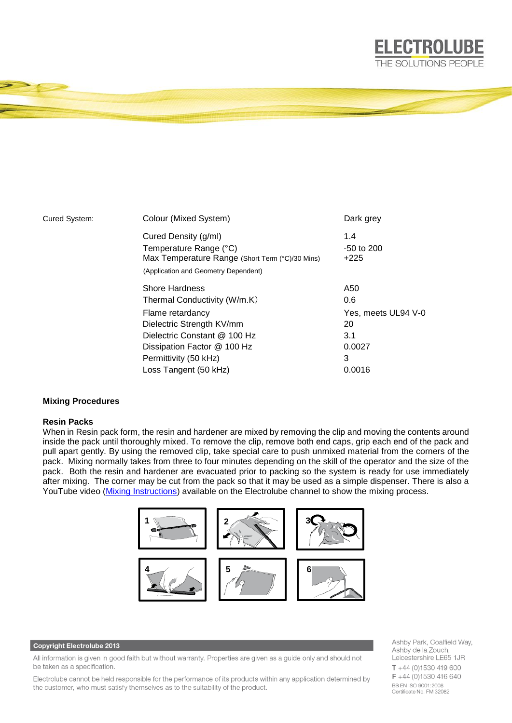

| Cured System: | Colour (Mixed System)                           | Dark grey           |
|---------------|-------------------------------------------------|---------------------|
|               | Cured Density (g/ml)                            | 1.4                 |
|               | Temperature Range (°C)                          | $-50$ to $200$      |
|               | Max Temperature Range (Short Term (°C)/30 Mins) | $+225$              |
|               | (Application and Geometry Dependent)            |                     |
|               | <b>Shore Hardness</b>                           | A50                 |
|               | Thermal Conductivity (W/m.K)                    | 0.6                 |
|               | Flame retardancy                                | Yes, meets UL94 V-0 |
|               | Dielectric Strength KV/mm                       | 20                  |
|               | Dielectric Constant @ 100 Hz                    | 3.1                 |
|               | Dissipation Factor @ 100 Hz                     | 0.0027              |
|               | Permittivity (50 kHz)                           | 3                   |
|               | Loss Tangent (50 kHz)                           | 0.0016              |

## **Mixing Procedures**

#### **Resin Packs**

When in Resin pack form, the resin and hardener are mixed by removing the clip and moving the contents around inside the pack until thoroughly mixed. To remove the clip, remove both end caps, grip each end of the pack and pull apart gently. By using the removed clip, take special care to push unmixed material from the corners of the pack. Mixing normally takes from three to four minutes depending on the skill of the operator and the size of the pack. Both the resin and hardener are evacuated prior to packing so the system is ready for use immediately after mixing. The corner may be cut from the pack so that it may be used as a simple dispenser. There is also a YouTube video [\(Mixing Instructions\)](https://www.youtube.com/watch?v=hmyCY7GaHoo) available on the Electrolube channel to show the mixing process.



### **Copyright Electrolube 2013**

All information is given in good faith but without warranty. Properties are given as a guide only and should not be taken as a specification.

Electrolube cannot be held responsible for the performance of its products within any application determined by the customer, who must satisfy themselves as to the suitability of the product.

Ashby Park, Coalfield Way, Ashby de la Zouch, Leicestershire LE65 1JR  $T + 44$  (0)1530 419 600 F +44 (0)1530 416 640 BS EN ISO 9001:2008 Certificate No. FM 32082

**ELECTROLUBE** THE SOLUTIONS PEOPLE